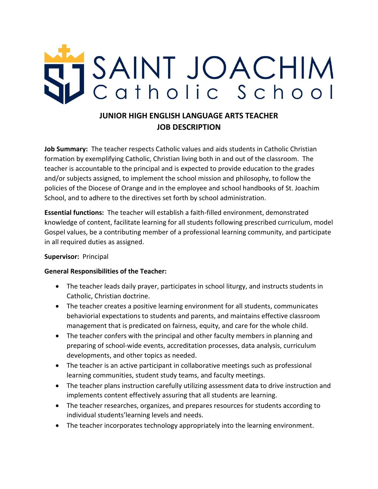

# **JUNIOR HIGH ENGLISH LANGUAGE ARTS TEACHER JOB DESCRIPTION**

**Job Summary:** The teacher respects Catholic values and aids students in Catholic Christian formation by exemplifying Catholic, Christian living both in and out of the classroom. The teacher is accountable to the principal and is expected to provide education to the grades and/or subjects assigned, to implement the school mission and philosophy, to follow the policies of the Diocese of Orange and in the employee and school handbooks of St. Joachim School, and to adhere to the directives set forth by school administration.

**Essential functions:** The teacher will establish a faith-filled environment, demonstrated knowledge of content, facilitate learning for all students following prescribed curriculum, model Gospel values, be a contributing member of a professional learning community, and participate in all required duties as assigned.

### **Supervisor:** Principal

### **General Responsibilities of the Teacher:**

- The teacher leads daily prayer, participates in school liturgy, and instructs students in Catholic, Christian doctrine.
- The teacher creates a positive learning environment for all students, communicates behaviorial expectations to students and parents, and maintains effective classroom management that is predicated on fairness, equity, and care for the whole child.
- The teacher confers with the principal and other faculty members in planning and preparing of school-wide events, accreditation processes, data analysis, curriculum developments, and other topics as needed.
- The teacher is an active participant in collaborative meetings such as professional learning communities, student study teams, and faculty meetings.
- The teacher plans instruction carefully utilizing assessment data to drive instruction and implements content effectively assuring that all students are learning.
- The teacher researches, organizes, and prepares resources for students according to individual students'learning levels and needs.
- The teacher incorporates technology appropriately into the learning environment.